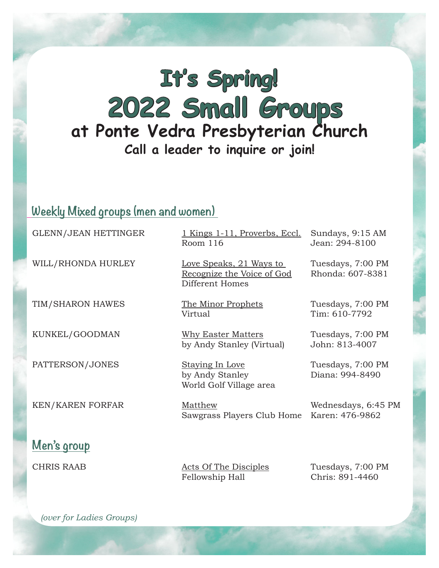## **It's Spring! 2022 Small Groups at Ponte Vedra Presbyterian Church Call a leader to inquire or join!**

## **Weekly Mixed groups (men and women)**

| <b>GLENN/JEAN HETTINGER</b> | 1 Kings 1-11, Proverbs, Eccl.<br>Room 116                                       | Sundays, 9:15 AM<br>Jean: 294-8100    |
|-----------------------------|---------------------------------------------------------------------------------|---------------------------------------|
| WILL/RHONDA HURLEY          | <u>Love Speaks, 21 Ways to</u><br>Recognize the Voice of God<br>Different Homes | Tuesdays, 7:00 PM<br>Rhonda: 607-8381 |
| TIM/SHARON HAWES            | The Minor Prophets<br>Virtual                                                   | Tuesdays, 7:00 PM<br>Tim: 610-7792    |
| KUNKEL/GOODMAN              | <b>Why Easter Matters</b><br>by Andy Stanley (Virtual)                          | Tuesdays, 7:00 PM<br>John: 813-4007   |
| PATTERSON/JONES             | <b>Staying In Love</b><br>by Andy Stanley<br>World Golf Village area            | Tuesdays, 7:00 PM<br>Diana: 994-8490  |
| <b>KEN/KAREN FORFAR</b>     | Matthew<br>Sawgrass Players Club Home                                           | Wednesdays, 6:45 I<br>Karen: 476-9862 |
| Men's group                 |                                                                                 |                                       |

CHRIS RAAB Acts Of The Disciples Tuesdays, 7:00 PM Fellowship Hall Chris: 891-4460

Wednesdays, 6:45 PM

 *(over for Ladies Groups)*